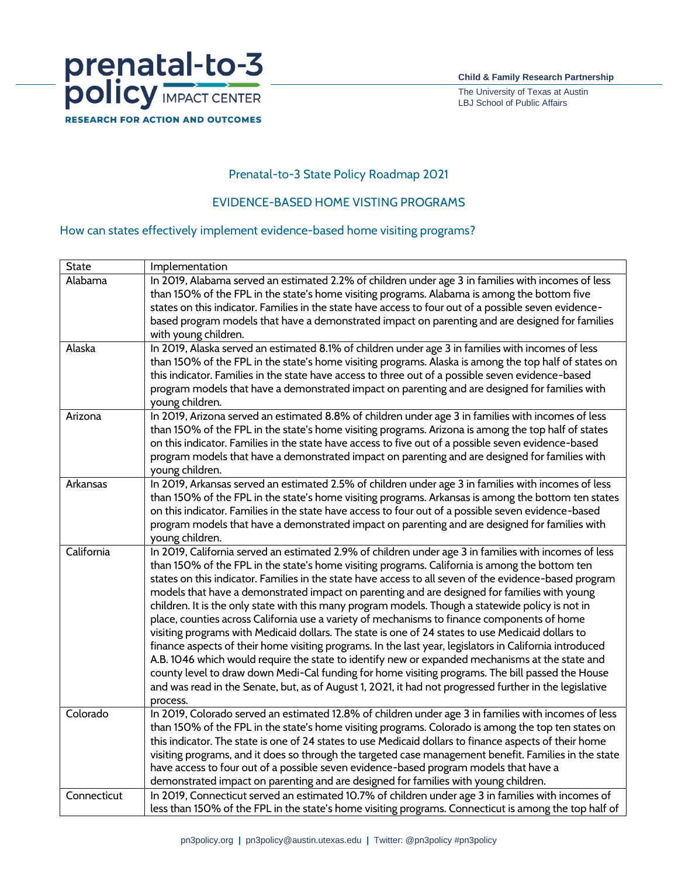

The University of Texas at Austin LBJ School of Public Affairs

## **Prenatal-to-3 State Policy Roadmap 2021**

## **EVIDENCE-BASED HOME VISTING PROGRAMS**

## **How can states effectively implement evidence-based home visiting programs?**

| <b>State</b> | Implementation                                                                                                                                                                                              |
|--------------|-------------------------------------------------------------------------------------------------------------------------------------------------------------------------------------------------------------|
| Alabama      | In 2019, Alabama served an estimated 2.2% of children under age 3 in families with incomes of less                                                                                                          |
|              | than 150% of the FPL in the state's home visiting programs. Alabama is among the bottom five                                                                                                                |
|              | states on this indicator. Families in the state have access to four out of a possible seven evidence-                                                                                                       |
|              | based program models that have a demonstrated impact on parenting and are designed for families                                                                                                             |
|              | with young children.                                                                                                                                                                                        |
| Alaska       | In 2019, Alaska served an estimated 8.1% of children under age 3 in families with incomes of less                                                                                                           |
|              | than 150% of the FPL in the state's home visiting programs. Alaska is among the top half of states on                                                                                                       |
|              | this indicator. Families in the state have access to three out of a possible seven evidence-based                                                                                                           |
|              | program models that have a demonstrated impact on parenting and are designed for families with                                                                                                              |
|              | young children.                                                                                                                                                                                             |
| Arizona      | In 2019, Arizona served an estimated 8.8% of children under age 3 in families with incomes of less                                                                                                          |
|              | than 150% of the FPL in the state's home visiting programs. Arizona is among the top half of states                                                                                                         |
|              | on this indicator. Families in the state have access to five out of a possible seven evidence-based                                                                                                         |
|              | program models that have a demonstrated impact on parenting and are designed for families with<br>young children.                                                                                           |
| Arkansas     | In 2019, Arkansas served an estimated 2.5% of children under age 3 in families with incomes of less                                                                                                         |
|              | than 150% of the FPL in the state's home visiting programs. Arkansas is among the bottom ten states                                                                                                         |
|              | on this indicator. Families in the state have access to four out of a possible seven evidence-based                                                                                                         |
|              | program models that have a demonstrated impact on parenting and are designed for families with                                                                                                              |
|              | young children.                                                                                                                                                                                             |
| California   | In 2019, California served an estimated 2.9% of children under age 3 in families with incomes of less                                                                                                       |
|              | than 150% of the FPL in the state's home visiting programs. California is among the bottom ten                                                                                                              |
|              | states on this indicator. Families in the state have access to all seven of the evidence-based program                                                                                                      |
|              | models that have a demonstrated impact on parenting and are designed for families with young                                                                                                                |
|              | children. It is the only state with this many program models. Though a statewide policy is not in                                                                                                           |
|              | place, counties across California use a variety of mechanisms to finance components of home                                                                                                                 |
|              | visiting programs with Medicaid dollars. The state is one of 24 states to use Medicaid dollars to                                                                                                           |
|              | finance aspects of their home visiting programs. In the last year, legislators in California introduced                                                                                                     |
|              | A.B. 1046 which would require the state to identify new or expanded mechanisms at the state and                                                                                                             |
|              | county level to draw down Medi-Cal funding for home visiting programs. The bill passed the House                                                                                                            |
|              | and was read in the Senate, but, as of August 1, 2021, it had not progressed further in the legislative                                                                                                     |
| Colorado     | process.                                                                                                                                                                                                    |
|              | In 2019, Colorado served an estimated 12.8% of children under age 3 in families with incomes of less<br>than 150% of the FPL in the state's home visiting programs. Colorado is among the top ten states on |
|              | this indicator. The state is one of 24 states to use Medicaid dollars to finance aspects of their home                                                                                                      |
|              | visiting programs, and it does so through the targeted case management benefit. Families in the state                                                                                                       |
|              | have access to four out of a possible seven evidence-based program models that have a                                                                                                                       |
|              | demonstrated impact on parenting and are designed for families with young children.                                                                                                                         |
| Connecticut  | In 2019, Connecticut served an estimated 10.7% of children under age 3 in families with incomes of                                                                                                          |
|              | less than 150% of the FPL in the state's home visiting programs. Connecticut is among the top half of                                                                                                       |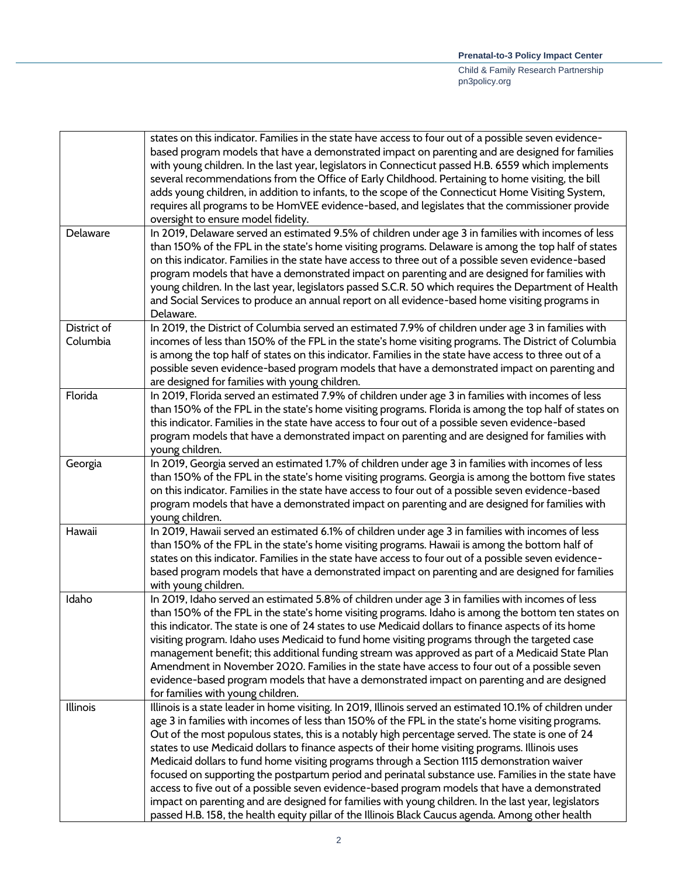|                         | states on this indicator. Families in the state have access to four out of a possible seven evidence-<br>based program models that have a demonstrated impact on parenting and are designed for families<br>with young children. In the last year, legislators in Connecticut passed H.B. 6559 which implements<br>several recommendations from the Office of Early Childhood. Pertaining to home visiting, the bill<br>adds young children, in addition to infants, to the scope of the Connecticut Home Visiting System,<br>requires all programs to be HomVEE evidence-based, and legislates that the commissioner provide<br>oversight to ensure model fidelity.                                                                                                                                                                                                                                                                          |
|-------------------------|-----------------------------------------------------------------------------------------------------------------------------------------------------------------------------------------------------------------------------------------------------------------------------------------------------------------------------------------------------------------------------------------------------------------------------------------------------------------------------------------------------------------------------------------------------------------------------------------------------------------------------------------------------------------------------------------------------------------------------------------------------------------------------------------------------------------------------------------------------------------------------------------------------------------------------------------------|
| Delaware                | In 2019, Delaware served an estimated 9.5% of children under age 3 in families with incomes of less<br>than 150% of the FPL in the state's home visiting programs. Delaware is among the top half of states<br>on this indicator. Families in the state have access to three out of a possible seven evidence-based<br>program models that have a demonstrated impact on parenting and are designed for families with<br>young children. In the last year, legislators passed S.C.R. 50 which requires the Department of Health<br>and Social Services to produce an annual report on all evidence-based home visiting programs in<br>Delaware.                                                                                                                                                                                                                                                                                               |
| District of<br>Columbia | In 2019, the District of Columbia served an estimated 7.9% of children under age 3 in families with<br>incomes of less than 150% of the FPL in the state's home visiting programs. The District of Columbia<br>is among the top half of states on this indicator. Families in the state have access to three out of a<br>possible seven evidence-based program models that have a demonstrated impact on parenting and<br>are designed for families with young children.                                                                                                                                                                                                                                                                                                                                                                                                                                                                      |
| Florida                 | In 2019, Florida served an estimated 7.9% of children under age 3 in families with incomes of less<br>than 150% of the FPL in the state's home visiting programs. Florida is among the top half of states on<br>this indicator. Families in the state have access to four out of a possible seven evidence-based<br>program models that have a demonstrated impact on parenting and are designed for families with<br>young children.                                                                                                                                                                                                                                                                                                                                                                                                                                                                                                         |
| Georgia                 | In 2019, Georgia served an estimated 1.7% of children under age 3 in families with incomes of less<br>than 150% of the FPL in the state's home visiting programs. Georgia is among the bottom five states<br>on this indicator. Families in the state have access to four out of a possible seven evidence-based<br>program models that have a demonstrated impact on parenting and are designed for families with<br>young children.                                                                                                                                                                                                                                                                                                                                                                                                                                                                                                         |
| Hawaii                  | In 2019, Hawaii served an estimated 6.1% of children under age 3 in families with incomes of less<br>than 150% of the FPL in the state's home visiting programs. Hawaii is among the bottom half of<br>states on this indicator. Families in the state have access to four out of a possible seven evidence-<br>based program models that have a demonstrated impact on parenting and are designed for families<br>with young children.                                                                                                                                                                                                                                                                                                                                                                                                                                                                                                       |
| Idaho                   | In 2019, Idaho served an estimated 5.8% of children under age 3 in families with incomes of less<br>than 150% of the FPL in the state's home visiting programs. Idaho is among the bottom ten states on<br>this indicator. The state is one of 24 states to use Medicaid dollars to finance aspects of its home<br>visiting program. Idaho uses Medicaid to fund home visiting programs through the targeted case<br>management benefit; this additional funding stream was approved as part of a Medicaid State Plan<br>Amendment in November 2020. Families in the state have access to four out of a possible seven<br>evidence-based program models that have a demonstrated impact on parenting and are designed<br>for families with young children.                                                                                                                                                                                    |
| Illinois                | Illinois is a state leader in home visiting. In 2019, Illinois served an estimated 10.1% of children under<br>age 3 in families with incomes of less than 150% of the FPL in the state's home visiting programs.<br>Out of the most populous states, this is a notably high percentage served. The state is one of 24<br>states to use Medicaid dollars to finance aspects of their home visiting programs. Illinois uses<br>Medicaid dollars to fund home visiting programs through a Section 1115 demonstration waiver<br>focused on supporting the postpartum period and perinatal substance use. Families in the state have<br>access to five out of a possible seven evidence-based program models that have a demonstrated<br>impact on parenting and are designed for families with young children. In the last year, legislators<br>passed H.B. 158, the health equity pillar of the Illinois Black Caucus agenda. Among other health |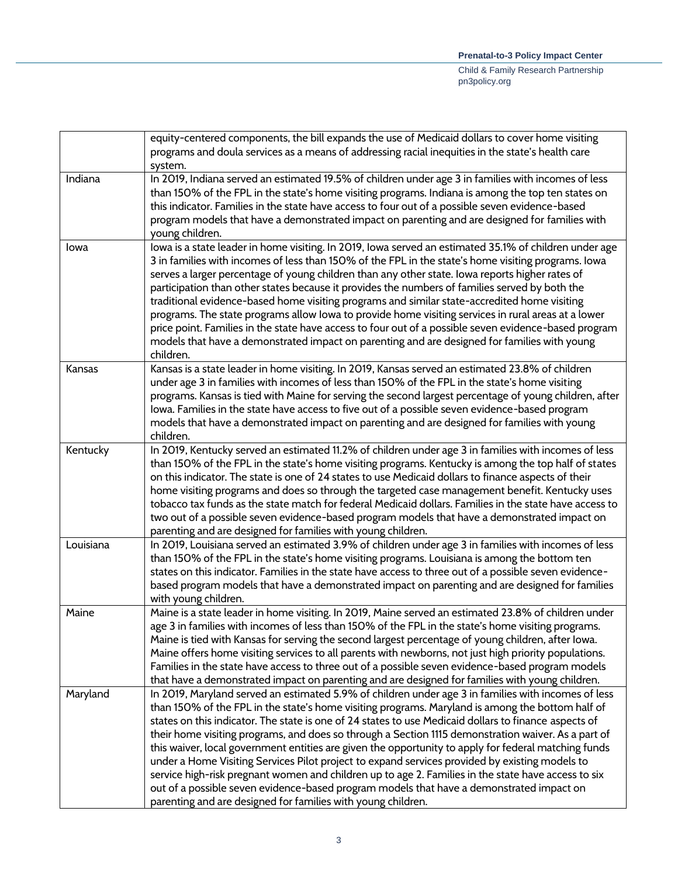|           | equity-centered components, the bill expands the use of Medicaid dollars to cover home visiting                                                                                                                                                                                                                                                                                                                                                                                                                                                                                                                                                                                                                                                                                                                                                                                                      |
|-----------|------------------------------------------------------------------------------------------------------------------------------------------------------------------------------------------------------------------------------------------------------------------------------------------------------------------------------------------------------------------------------------------------------------------------------------------------------------------------------------------------------------------------------------------------------------------------------------------------------------------------------------------------------------------------------------------------------------------------------------------------------------------------------------------------------------------------------------------------------------------------------------------------------|
|           | programs and doula services as a means of addressing racial inequities in the state's health care                                                                                                                                                                                                                                                                                                                                                                                                                                                                                                                                                                                                                                                                                                                                                                                                    |
|           | system.                                                                                                                                                                                                                                                                                                                                                                                                                                                                                                                                                                                                                                                                                                                                                                                                                                                                                              |
| Indiana   | In 2019, Indiana served an estimated 19.5% of children under age 3 in families with incomes of less<br>than 150% of the FPL in the state's home visiting programs. Indiana is among the top ten states on<br>this indicator. Families in the state have access to four out of a possible seven evidence-based<br>program models that have a demonstrated impact on parenting and are designed for families with<br>young children.                                                                                                                                                                                                                                                                                                                                                                                                                                                                   |
| lowa      | lowa is a state leader in home visiting. In 2019, Iowa served an estimated 35.1% of children under age<br>3 in families with incomes of less than 150% of the FPL in the state's home visiting programs. Iowa<br>serves a larger percentage of young children than any other state. Iowa reports higher rates of<br>participation than other states because it provides the numbers of families served by both the<br>traditional evidence-based home visiting programs and similar state-accredited home visiting<br>programs. The state programs allow Iowa to provide home visiting services in rural areas at a lower<br>price point. Families in the state have access to four out of a possible seven evidence-based program<br>models that have a demonstrated impact on parenting and are designed for families with young<br>children.                                                      |
| Kansas    | Kansas is a state leader in home visiting. In 2019, Kansas served an estimated 23.8% of children<br>under age 3 in families with incomes of less than 150% of the FPL in the state's home visiting<br>programs. Kansas is tied with Maine for serving the second largest percentage of young children, after<br>lowa. Families in the state have access to five out of a possible seven evidence-based program<br>models that have a demonstrated impact on parenting and are designed for families with young<br>children.                                                                                                                                                                                                                                                                                                                                                                          |
| Kentucky  | In 2019, Kentucky served an estimated 11.2% of children under age 3 in families with incomes of less<br>than 150% of the FPL in the state's home visiting programs. Kentucky is among the top half of states<br>on this indicator. The state is one of 24 states to use Medicaid dollars to finance aspects of their<br>home visiting programs and does so through the targeted case management benefit. Kentucky uses<br>tobacco tax funds as the state match for federal Medicaid dollars. Families in the state have access to<br>two out of a possible seven evidence-based program models that have a demonstrated impact on<br>parenting and are designed for families with young children.                                                                                                                                                                                                    |
| Louisiana | In 2019, Louisiana served an estimated 3.9% of children under age 3 in families with incomes of less<br>than 150% of the FPL in the state's home visiting programs. Louisiana is among the bottom ten<br>states on this indicator. Families in the state have access to three out of a possible seven evidence-<br>based program models that have a demonstrated impact on parenting and are designed for families<br>with young children.                                                                                                                                                                                                                                                                                                                                                                                                                                                           |
| Maine     | Maine is a state leader in home visiting. In 2019, Maine served an estimated 23.8% of children under<br>age 3 in families with incomes of less than 150% of the FPL in the state's home visiting programs.<br>Maine is tied with Kansas for serving the second largest percentage of young children, after Iowa.<br>Maine offers home visiting services to all parents with newborns, not just high priority populations.<br>Families in the state have access to three out of a possible seven evidence-based program models<br>that have a demonstrated impact on parenting and are designed for families with young children.                                                                                                                                                                                                                                                                     |
| Maryland  | In 2019, Maryland served an estimated 5.9% of children under age 3 in families with incomes of less<br>than 150% of the FPL in the state's home visiting programs. Maryland is among the bottom half of<br>states on this indicator. The state is one of 24 states to use Medicaid dollars to finance aspects of<br>their home visiting programs, and does so through a Section 1115 demonstration waiver. As a part of<br>this waiver, local government entities are given the opportunity to apply for federal matching funds<br>under a Home Visiting Services Pilot project to expand services provided by existing models to<br>service high-risk pregnant women and children up to age 2. Families in the state have access to six<br>out of a possible seven evidence-based program models that have a demonstrated impact on<br>parenting and are designed for families with young children. |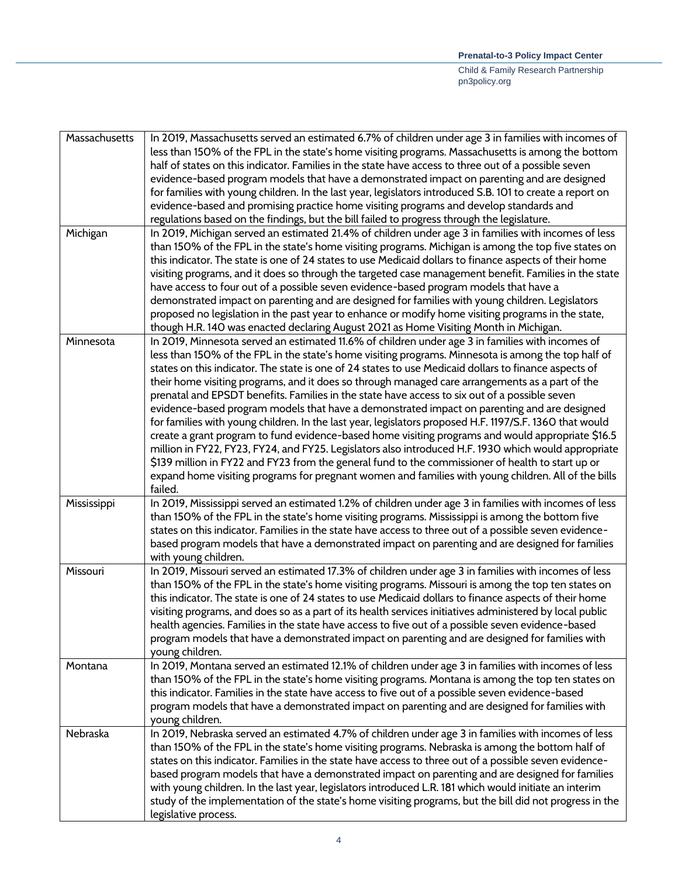| Massachusetts | In 2019, Massachusetts served an estimated 6.7% of children under age 3 in families with incomes of       |
|---------------|-----------------------------------------------------------------------------------------------------------|
|               | less than 150% of the FPL in the state's home visiting programs. Massachusetts is among the bottom        |
|               | half of states on this indicator. Families in the state have access to three out of a possible seven      |
|               | evidence-based program models that have a demonstrated impact on parenting and are designed               |
|               | for families with young children. In the last year, legislators introduced S.B. 101 to create a report on |
|               | evidence-based and promising practice home visiting programs and develop standards and                    |
|               | regulations based on the findings, but the bill failed to progress through the legislature.               |
| Michigan      | In 2019, Michigan served an estimated 21.4% of children under age 3 in families with incomes of less      |
|               | than 150% of the FPL in the state's home visiting programs. Michigan is among the top five states on      |
|               | this indicator. The state is one of 24 states to use Medicaid dollars to finance aspects of their home    |
|               | visiting programs, and it does so through the targeted case management benefit. Families in the state     |
|               | have access to four out of a possible seven evidence-based program models that have a                     |
|               | demonstrated impact on parenting and are designed for families with young children. Legislators           |
|               | proposed no legislation in the past year to enhance or modify home visiting programs in the state,        |
|               | though H.R. 140 was enacted declaring August 2021 as Home Visiting Month in Michigan.                     |
| Minnesota     | In 2019, Minnesota served an estimated 11.6% of children under age 3 in families with incomes of          |
|               | less than 150% of the FPL in the state's home visiting programs. Minnesota is among the top half of       |
|               | states on this indicator. The state is one of 24 states to use Medicaid dollars to finance aspects of     |
|               | their home visiting programs, and it does so through managed care arrangements as a part of the           |
|               | prenatal and EPSDT benefits. Families in the state have access to six out of a possible seven             |
|               | evidence-based program models that have a demonstrated impact on parenting and are designed               |
|               |                                                                                                           |
|               | for families with young children. In the last year, legislators proposed H.F. 1197/S.F. 1360 that would   |
|               | create a grant program to fund evidence-based home visiting programs and would appropriate \$16.5         |
|               | million in FY22, FY23, FY24, and FY25. Legislators also introduced H.F. 1930 which would appropriate      |
|               | \$139 million in FY22 and FY23 from the general fund to the commissioner of health to start up or         |
|               | expand home visiting programs for pregnant women and families with young children. All of the bills       |
|               | failed.                                                                                                   |
| Mississippi   | In 2019, Mississippi served an estimated 1.2% of children under age 3 in families with incomes of less    |
|               | than 150% of the FPL in the state's home visiting programs. Mississippi is among the bottom five          |
|               | states on this indicator. Families in the state have access to three out of a possible seven evidence-    |
|               | based program models that have a demonstrated impact on parenting and are designed for families           |
|               | with young children.                                                                                      |
| Missouri      | In 2019, Missouri served an estimated 17.3% of children under age 3 in families with incomes of less      |
|               | than 150% of the FPL in the state's home visiting programs. Missouri is among the top ten states on       |
|               | this indicator. The state is one of 24 states to use Medicaid dollars to finance aspects of their home    |
|               | visiting programs, and does so as a part of its health services initiatives administered by local public  |
|               | health agencies. Families in the state have access to five out of a possible seven evidence-based         |
|               | program models that have a demonstrated impact on parenting and are designed for families with            |
|               | young children.                                                                                           |
| Montana       | In 2019, Montana served an estimated 12.1% of children under age 3 in families with incomes of less       |
|               | than 150% of the FPL in the state's home visiting programs. Montana is among the top ten states on        |
|               | this indicator. Families in the state have access to five out of a possible seven evidence-based          |
|               | program models that have a demonstrated impact on parenting and are designed for families with            |
|               | young children.                                                                                           |
| Nebraska      | In 2019, Nebraska served an estimated 4.7% of children under age 3 in families with incomes of less       |
|               | than 150% of the FPL in the state's home visiting programs. Nebraska is among the bottom half of          |
|               | states on this indicator. Families in the state have access to three out of a possible seven evidence-    |
|               | based program models that have a demonstrated impact on parenting and are designed for families           |
|               | with young children. In the last year, legislators introduced L.R. 181 which would initiate an interim    |
|               | study of the implementation of the state's home visiting programs, but the bill did not progress in the   |
|               | legislative process.                                                                                      |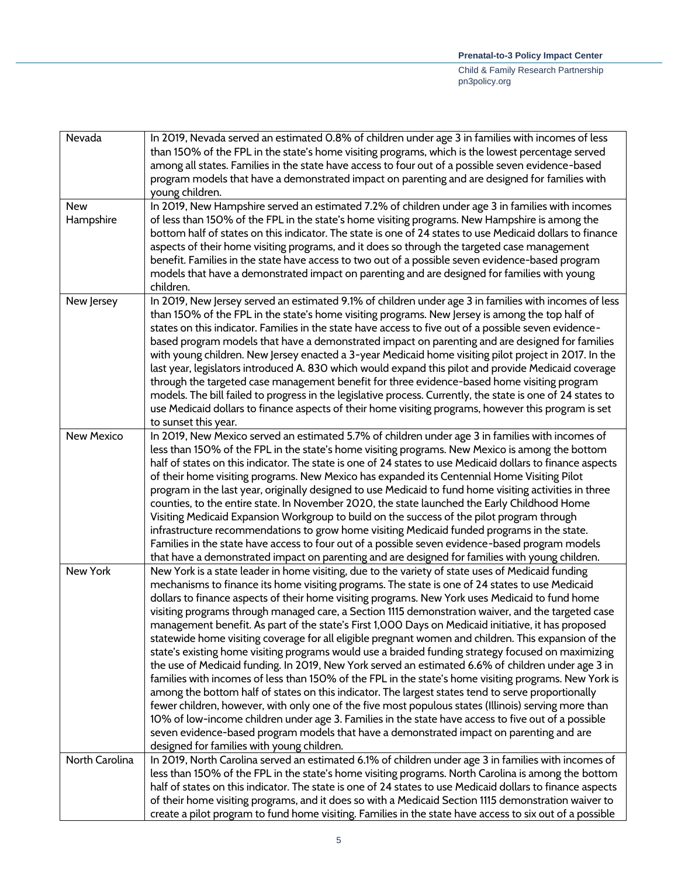| Nevada                  | In 2019, Nevada served an estimated 0.8% of children under age 3 in families with incomes of less<br>than 150% of the FPL in the state's home visiting programs, which is the lowest percentage served<br>among all states. Families in the state have access to four out of a possible seven evidence-based<br>program models that have a demonstrated impact on parenting and are designed for families with<br>young children.                                                                                                                                                                                                                                                                                                                                                                                                                                                                                                                                                                                                                                                                                                                                                                                                                                                                                                                                                                                |
|-------------------------|------------------------------------------------------------------------------------------------------------------------------------------------------------------------------------------------------------------------------------------------------------------------------------------------------------------------------------------------------------------------------------------------------------------------------------------------------------------------------------------------------------------------------------------------------------------------------------------------------------------------------------------------------------------------------------------------------------------------------------------------------------------------------------------------------------------------------------------------------------------------------------------------------------------------------------------------------------------------------------------------------------------------------------------------------------------------------------------------------------------------------------------------------------------------------------------------------------------------------------------------------------------------------------------------------------------------------------------------------------------------------------------------------------------|
| <b>New</b><br>Hampshire | In 2019, New Hampshire served an estimated 7.2% of children under age 3 in families with incomes<br>of less than 150% of the FPL in the state's home visiting programs. New Hampshire is among the<br>bottom half of states on this indicator. The state is one of 24 states to use Medicaid dollars to finance<br>aspects of their home visiting programs, and it does so through the targeted case management<br>benefit. Families in the state have access to two out of a possible seven evidence-based program<br>models that have a demonstrated impact on parenting and are designed for families with young<br>children.                                                                                                                                                                                                                                                                                                                                                                                                                                                                                                                                                                                                                                                                                                                                                                                 |
| New Jersey              | In 2019, New Jersey served an estimated 9.1% of children under age 3 in families with incomes of less<br>than 150% of the FPL in the state's home visiting programs. New Jersey is among the top half of<br>states on this indicator. Families in the state have access to five out of a possible seven evidence-<br>based program models that have a demonstrated impact on parenting and are designed for families<br>with young children. New Jersey enacted a 3-year Medicaid home visiting pilot project in 2017. In the<br>last year, legislators introduced A. 830 which would expand this pilot and provide Medicaid coverage<br>through the targeted case management benefit for three evidence-based home visiting program<br>models. The bill failed to progress in the legislative process. Currently, the state is one of 24 states to<br>use Medicaid dollars to finance aspects of their home visiting programs, however this program is set<br>to sunset this year.                                                                                                                                                                                                                                                                                                                                                                                                                              |
| <b>New Mexico</b>       | In 2019, New Mexico served an estimated 5.7% of children under age 3 in families with incomes of<br>less than 150% of the FPL in the state's home visiting programs. New Mexico is among the bottom<br>half of states on this indicator. The state is one of 24 states to use Medicaid dollars to finance aspects<br>of their home visiting programs. New Mexico has expanded its Centennial Home Visiting Pilot<br>program in the last year, originally designed to use Medicaid to fund home visiting activities in three<br>counties, to the entire state. In November 2020, the state launched the Early Childhood Home<br>Visiting Medicaid Expansion Workgroup to build on the success of the pilot program through<br>infrastructure recommendations to grow home visiting Medicaid funded programs in the state.<br>Families in the state have access to four out of a possible seven evidence-based program models<br>that have a demonstrated impact on parenting and are designed for families with young children.                                                                                                                                                                                                                                                                                                                                                                                   |
| New York                | New York is a state leader in home visiting, due to the variety of state uses of Medicaid funding<br>mechanisms to finance its home visiting programs. The state is one of 24 states to use Medicaid<br>dollars to finance aspects of their home visiting programs. New York uses Medicaid to fund home<br>visiting programs through managed care, a Section 1115 demonstration waiver, and the targeted case<br>management benefit. As part of the state's First 1,000 Days on Medicaid initiative, it has proposed<br>statewide home visiting coverage for all eligible pregnant women and children. This expansion of the<br>state's existing home visiting programs would use a braided funding strategy focused on maximizing<br>the use of Medicaid funding. In 2019, New York served an estimated 6.6% of children under age 3 in<br>families with incomes of less than 150% of the FPL in the state's home visiting programs. New York is<br>among the bottom half of states on this indicator. The largest states tend to serve proportionally<br>fewer children, however, with only one of the five most populous states (Illinois) serving more than<br>10% of low-income children under age 3. Families in the state have access to five out of a possible<br>seven evidence-based program models that have a demonstrated impact on parenting and are<br>designed for families with young children. |
| North Carolina          | In 2019, North Carolina served an estimated 6.1% of children under age 3 in families with incomes of<br>less than 150% of the FPL in the state's home visiting programs. North Carolina is among the bottom<br>half of states on this indicator. The state is one of 24 states to use Medicaid dollars to finance aspects<br>of their home visiting programs, and it does so with a Medicaid Section 1115 demonstration waiver to<br>create a pilot program to fund home visiting. Families in the state have access to six out of a possible                                                                                                                                                                                                                                                                                                                                                                                                                                                                                                                                                                                                                                                                                                                                                                                                                                                                    |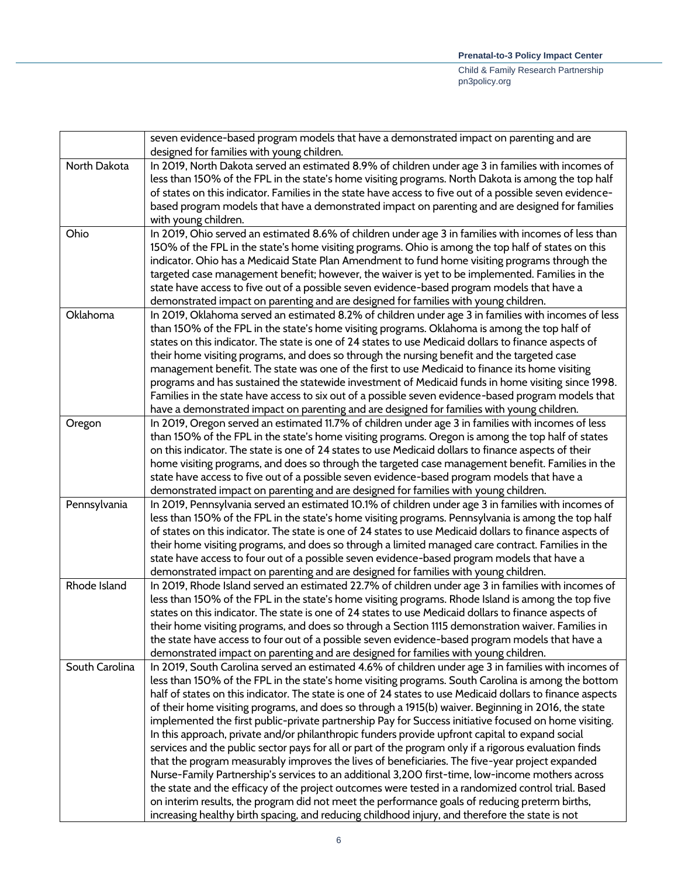|                | seven evidence-based program models that have a demonstrated impact on parenting and are<br>designed for families with young children.                                                                     |
|----------------|------------------------------------------------------------------------------------------------------------------------------------------------------------------------------------------------------------|
| North Dakota   | In 2019, North Dakota served an estimated 8.9% of children under age 3 in families with incomes of                                                                                                         |
|                | less than 150% of the FPL in the state's home visiting programs. North Dakota is among the top half                                                                                                        |
|                | of states on this indicator. Families in the state have access to five out of a possible seven evidence-                                                                                                   |
|                | based program models that have a demonstrated impact on parenting and are designed for families                                                                                                            |
|                | with young children.                                                                                                                                                                                       |
| Ohio           | In 2019, Ohio served an estimated 8.6% of children under age 3 in families with incomes of less than                                                                                                       |
|                | 150% of the FPL in the state's home visiting programs. Ohio is among the top half of states on this                                                                                                        |
|                | indicator. Ohio has a Medicaid State Plan Amendment to fund home visiting programs through the                                                                                                             |
|                | targeted case management benefit; however, the waiver is yet to be implemented. Families in the                                                                                                            |
|                | state have access to five out of a possible seven evidence-based program models that have a                                                                                                                |
|                | demonstrated impact on parenting and are designed for families with young children.                                                                                                                        |
| Oklahoma       | In 2019, Oklahoma served an estimated 8.2% of children under age 3 in families with incomes of less                                                                                                        |
|                | than 150% of the FPL in the state's home visiting programs. Oklahoma is among the top half of                                                                                                              |
|                | states on this indicator. The state is one of 24 states to use Medicaid dollars to finance aspects of                                                                                                      |
|                | their home visiting programs, and does so through the nursing benefit and the targeted case                                                                                                                |
|                | management benefit. The state was one of the first to use Medicaid to finance its home visiting                                                                                                            |
|                | programs and has sustained the statewide investment of Medicaid funds in home visiting since 1998.                                                                                                         |
|                | Families in the state have access to six out of a possible seven evidence-based program models that                                                                                                        |
|                | have a demonstrated impact on parenting and are designed for families with young children.                                                                                                                 |
| Oregon         | In 2019, Oregon served an estimated 11.7% of children under age 3 in families with incomes of less                                                                                                         |
|                | than 150% of the FPL in the state's home visiting programs. Oregon is among the top half of states<br>on this indicator. The state is one of 24 states to use Medicaid dollars to finance aspects of their |
|                | home visiting programs, and does so through the targeted case management benefit. Families in the                                                                                                          |
|                | state have access to five out of a possible seven evidence-based program models that have a                                                                                                                |
|                | demonstrated impact on parenting and are designed for families with young children.                                                                                                                        |
| Pennsylvania   | In 2019, Pennsylvania served an estimated 10.1% of children under age 3 in families with incomes of                                                                                                        |
|                | less than 150% of the FPL in the state's home visiting programs. Pennsylvania is among the top half                                                                                                        |
|                | of states on this indicator. The state is one of 24 states to use Medicaid dollars to finance aspects of                                                                                                   |
|                | their home visiting programs, and does so through a limited managed care contract. Families in the                                                                                                         |
|                | state have access to four out of a possible seven evidence-based program models that have a                                                                                                                |
|                | demonstrated impact on parenting and are designed for families with young children.                                                                                                                        |
| Rhode Island   | In 2019, Rhode Island served an estimated 22.7% of children under age 3 in families with incomes of                                                                                                        |
|                | less than 150% of the FPL in the state's home visiting programs. Rhode Island is among the top five                                                                                                        |
|                | states on this indicator. The state is one of 24 states to use Medicaid dollars to finance aspects of                                                                                                      |
|                | their home visiting programs, and does so through a Section 1115 demonstration waiver. Families in                                                                                                         |
|                | the state have access to four out of a possible seven evidence-based program models that have a                                                                                                            |
|                | demonstrated impact on parenting and are designed for families with young children.                                                                                                                        |
| South Carolina | In 2019, South Carolina served an estimated 4.6% of children under age 3 in families with incomes of                                                                                                       |
|                | less than 150% of the FPL in the state's home visiting programs. South Carolina is among the bottom                                                                                                        |
|                | half of states on this indicator. The state is one of 24 states to use Medicaid dollars to finance aspects                                                                                                 |
|                | of their home visiting programs, and does so through a 1915(b) waiver. Beginning in 2016, the state                                                                                                        |
|                | implemented the first public-private partnership Pay for Success initiative focused on home visiting.                                                                                                      |
|                | In this approach, private and/or philanthropic funders provide upfront capital to expand social                                                                                                            |
|                | services and the public sector pays for all or part of the program only if a rigorous evaluation finds                                                                                                     |
|                | that the program measurably improves the lives of beneficiaries. The five-year project expanded<br>Nurse-Family Partnership's services to an additional 3,200 first-time, low-income mothers across        |
|                | the state and the efficacy of the project outcomes were tested in a randomized control trial. Based                                                                                                        |
|                | on interim results, the program did not meet the performance goals of reducing preterm births,                                                                                                             |
|                | increasing healthy birth spacing, and reducing childhood injury, and therefore the state is not                                                                                                            |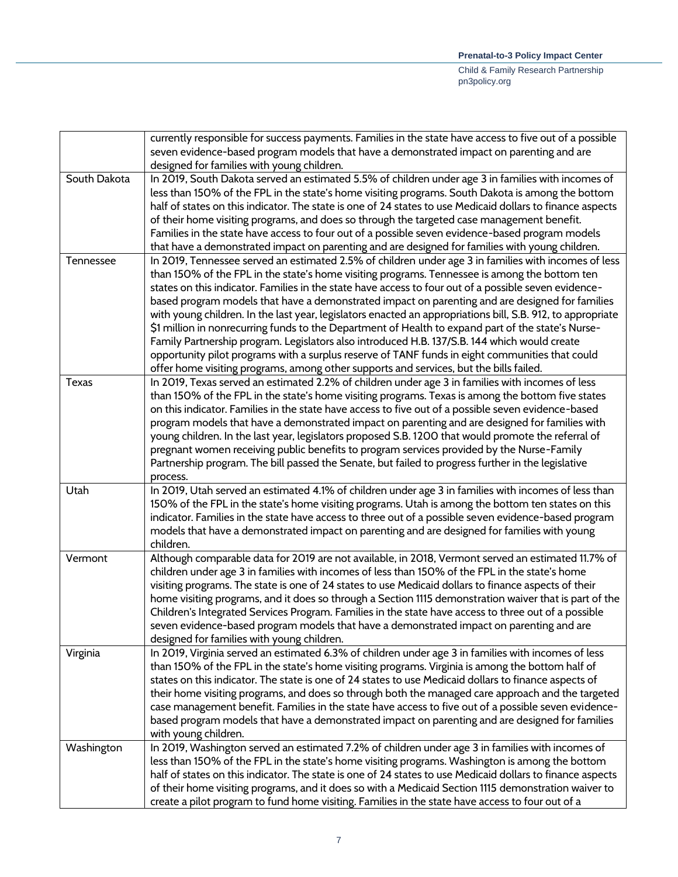|              | currently responsible for success payments. Families in the state have access to five out of a possible     |
|--------------|-------------------------------------------------------------------------------------------------------------|
|              | seven evidence-based program models that have a demonstrated impact on parenting and are                    |
|              | designed for families with young children.                                                                  |
| South Dakota | In 2019, South Dakota served an estimated 5.5% of children under age 3 in families with incomes of          |
|              | less than 150% of the FPL in the state's home visiting programs. South Dakota is among the bottom           |
|              | half of states on this indicator. The state is one of 24 states to use Medicaid dollars to finance aspects  |
|              | of their home visiting programs, and does so through the targeted case management benefit.                  |
|              | Families in the state have access to four out of a possible seven evidence-based program models             |
|              | that have a demonstrated impact on parenting and are designed for families with young children.             |
| Tennessee    | In 2019, Tennessee served an estimated 2.5% of children under age 3 in families with incomes of less        |
|              | than 150% of the FPL in the state's home visiting programs. Tennessee is among the bottom ten               |
|              | states on this indicator. Families in the state have access to four out of a possible seven evidence-       |
|              |                                                                                                             |
|              | based program models that have a demonstrated impact on parenting and are designed for families             |
|              | with young children. In the last year, legislators enacted an appropriations bill, S.B. 912, to appropriate |
|              | \$1 million in nonrecurring funds to the Department of Health to expand part of the state's Nurse-          |
|              | Family Partnership program. Legislators also introduced H.B. 137/S.B. 144 which would create                |
|              | opportunity pilot programs with a surplus reserve of TANF funds in eight communities that could             |
|              | offer home visiting programs, among other supports and services, but the bills failed.                      |
| <b>Texas</b> | In 2019, Texas served an estimated 2.2% of children under age 3 in families with incomes of less            |
|              | than 150% of the FPL in the state's home visiting programs. Texas is among the bottom five states           |
|              | on this indicator. Families in the state have access to five out of a possible seven evidence-based         |
|              | program models that have a demonstrated impact on parenting and are designed for families with              |
|              | young children. In the last year, legislators proposed S.B. 1200 that would promote the referral of         |
|              | pregnant women receiving public benefits to program services provided by the Nurse-Family                   |
|              | Partnership program. The bill passed the Senate, but failed to progress further in the legislative          |
|              | process.                                                                                                    |
| Utah         | In 2019, Utah served an estimated 4.1% of children under age 3 in families with incomes of less than        |
|              | 150% of the FPL in the state's home visiting programs. Utah is among the bottom ten states on this          |
|              | indicator. Families in the state have access to three out of a possible seven evidence-based program        |
|              | models that have a demonstrated impact on parenting and are designed for families with young                |
|              | children.                                                                                                   |
| Vermont      | Although comparable data for 2019 are not available, in 2018, Vermont served an estimated 11.7% of          |
|              | children under age 3 in families with incomes of less than 150% of the FPL in the state's home              |
|              | visiting programs. The state is one of 24 states to use Medicaid dollars to finance aspects of their        |
|              | home visiting programs, and it does so through a Section 1115 demonstration waiver that is part of the      |
|              | Children's Integrated Services Program. Families in the state have access to three out of a possible        |
|              | seven evidence-based program models that have a demonstrated impact on parenting and are                    |
|              | designed for families with young children.                                                                  |
| Virginia     | In 2019, Virginia served an estimated 6.3% of children under age 3 in families with incomes of less         |
|              | than 150% of the FPL in the state's home visiting programs. Virginia is among the bottom half of            |
|              |                                                                                                             |
|              | states on this indicator. The state is one of 24 states to use Medicaid dollars to finance aspects of       |
|              | their home visiting programs, and does so through both the managed care approach and the targeted           |
|              | case management benefit. Families in the state have access to five out of a possible seven evidence-        |
|              | based program models that have a demonstrated impact on parenting and are designed for families             |
|              | with young children.                                                                                        |
| Washington   | In 2019, Washington served an estimated 7.2% of children under age 3 in families with incomes of            |
|              | less than 150% of the FPL in the state's home visiting programs. Washington is among the bottom             |
|              | half of states on this indicator. The state is one of 24 states to use Medicaid dollars to finance aspects  |
|              | of their home visiting programs, and it does so with a Medicaid Section 1115 demonstration waiver to        |
|              | create a pilot program to fund home visiting. Families in the state have access to four out of a            |